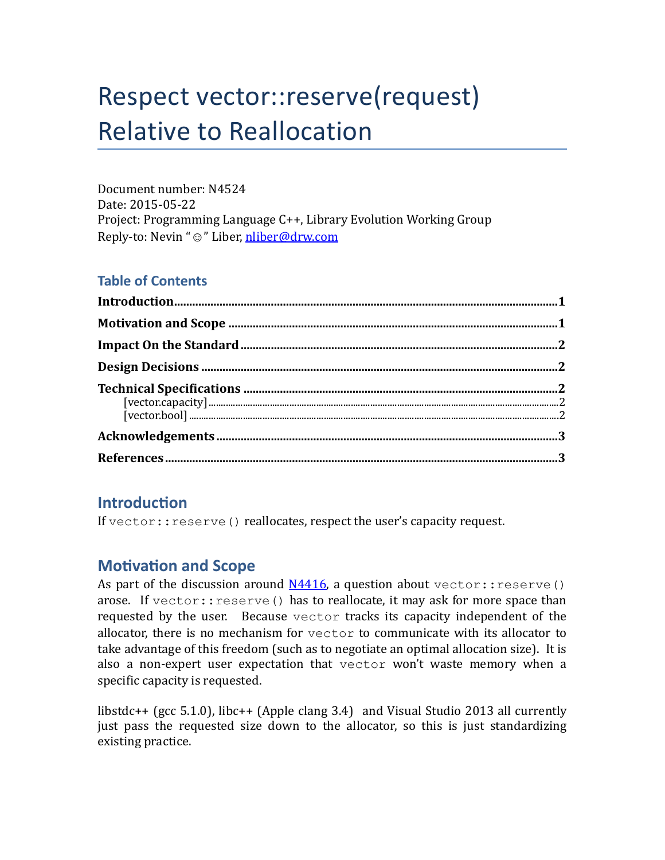# Respect vector::reserve(request) **Relative to Reallocation**

Document number: N4524 Date: 2015-05-22 Project: Programming Language  $C++$ , Library Evolution Working Group Reply-to: Nevin "☺" Liber, nliber@drw.com

### **Table of Contents**

## **Introduction**

If  $vector::\text{reserve}$  () reallocates, respect the user's capacity request.

## **Motivation and Scope**

As part of the discussion around  $N4416$ , a question about vector:: reserve() arose. If vector:: reserve() has to reallocate, it may ask for more space than requested by the user. Because  $vector$  tracks its capacity independent of the allocator, there is no mechanism for  $\vee$  ector to communicate with its allocator to take advantage of this freedom (such as to negotiate an optimal allocation size). It is also a non-expert user expectation that vector won't waste memory when a specific capacity is requested.

libstdc++ (gcc 5.1.0), libc++ (Apple clang 3.4) and Visual Studio 2013 all currently just pass the requested size down to the allocator, so this is just standardizing existing practice.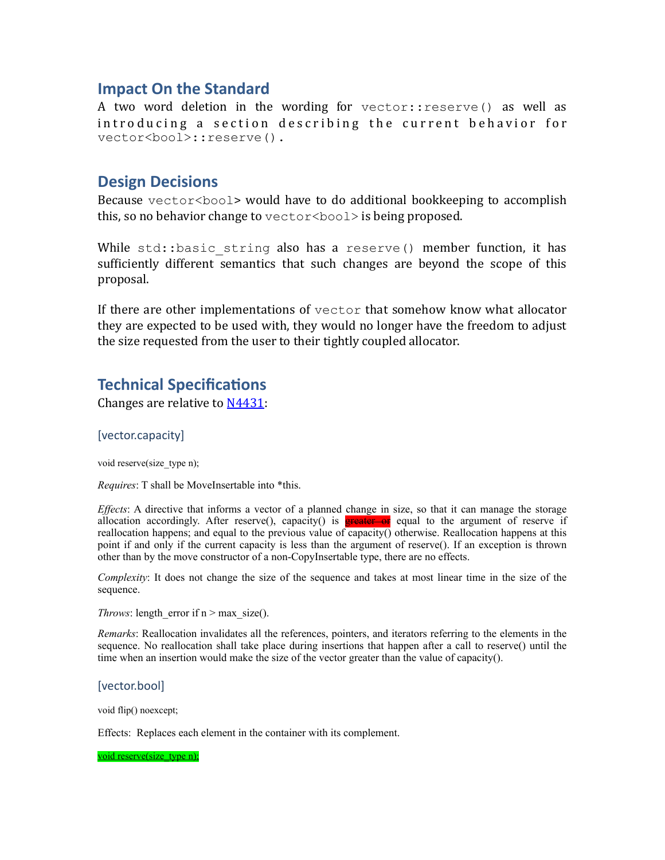#### **Impact On the Standard**

A two word deletion in the wording for vector::reserve() as well as introducing a section describing the current behavior for vector<bool>::reserve().

#### **Design Decisions**

Because  $\text{vector}\text{-}\text{bool}\text{-}\text{ would have to do additional bookkeeping to accomplish}$ this, so no behavior change to  $vector <$ bool> is being proposed.

While  $std:$ :basic string also has a reserve() member function, it has sufficiently different semantics that such changes are beyond the scope of this proposal. 

If there are other implementations of  $vector$  that somehow know what allocator they are expected to be used with, they would no longer have the freedom to adjust the size requested from the user to their tightly coupled allocator.

## **Technical Specifications**

Changes are relative to  $N4431$ :

#### [vector.capacity]

void reserve(size\_type n);

*Requires*: T shall be MoveInsertable into \*this.

*Effects*: A directive that informs a vector of a planned change in size, so that it can manage the storage allocation accordingly. After reserve(), capacity() is **greater or** equal to the argument of reserve if reallocation happens; and equal to the previous value of capacity() otherwise. Reallocation happens at this point if and only if the current capacity is less than the argument of reserve(). If an exception is thrown other than by the move constructor of a non-CopyInsertable type, there are no effects.

*Complexity*: It does not change the size of the sequence and takes at most linear time in the size of the sequence.

*Throws*: length error if  $n > max$  size().

*Remarks*: Reallocation invalidates all the references, pointers, and iterators referring to the elements in the sequence. No reallocation shall take place during insertions that happen after a call to reserve() until the time when an insertion would make the size of the vector greater than the value of capacity().

[vector.bool] 

void flip() noexcept;

Effects: Replaces each element in the container with its complement.

void reserve(size\_type n);